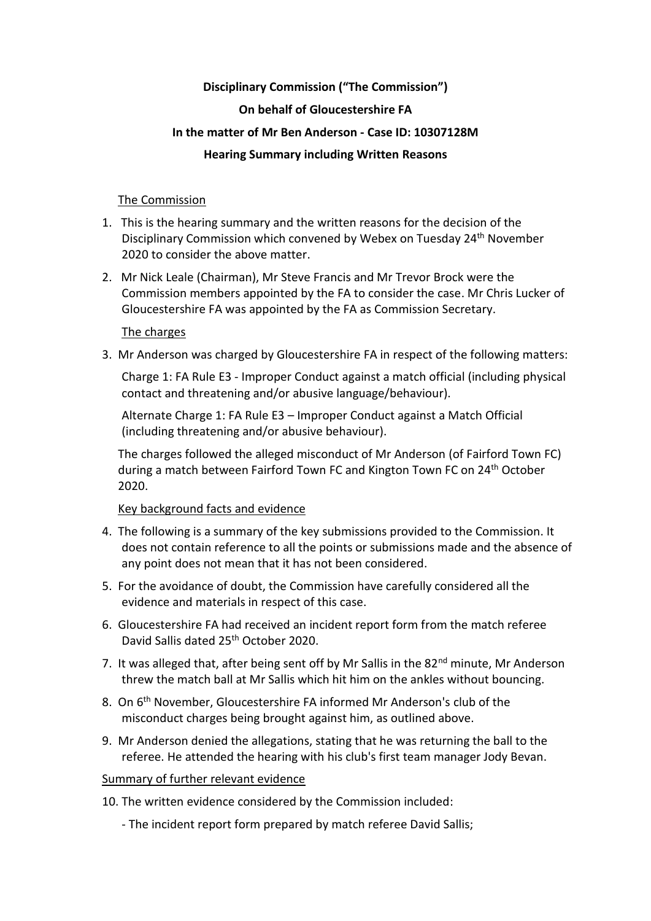## **Disciplinary Commission ("The Commission")**

# **On behalf of Gloucestershire FA**

## **In the matter of Mr Ben Anderson - Case ID: 10307128M**

## **Hearing Summary including Written Reasons**

### The Commission

- 1. This is the hearing summary and the written reasons for the decision of the Disciplinary Commission which convened by Webex on Tuesday 24th November 2020 to consider the above matter.
- 2. Mr Nick Leale (Chairman), Mr Steve Francis and Mr Trevor Brock were the Commission members appointed by the FA to consider the case. Mr Chris Lucker of Gloucestershire FA was appointed by the FA as Commission Secretary.

## The charges

3. Mr Anderson was charged by Gloucestershire FA in respect of the following matters:

Charge 1: FA Rule E3 - Improper Conduct against a match official (including physical contact and threatening and/or abusive language/behaviour).

Alternate Charge 1: FA Rule E3 – Improper Conduct against a Match Official (including threatening and/or abusive behaviour).

The charges followed the alleged misconduct of Mr Anderson (of Fairford Town FC) during a match between Fairford Town FC and Kington Town FC on 24th October 2020.

# Key background facts and evidence

- 4. The following is a summary of the key submissions provided to the Commission. It does not contain reference to all the points or submissions made and the absence of any point does not mean that it has not been considered.
- 5. For the avoidance of doubt, the Commission have carefully considered all the evidence and materials in respect of this case.
- 6. Gloucestershire FA had received an incident report form from the match referee David Sallis dated 25<sup>th</sup> October 2020.
- 7. It was alleged that, after being sent off by Mr Sallis in the 82<sup>nd</sup> minute, Mr Anderson threw the match ball at Mr Sallis which hit him on the ankles without bouncing.
- 8. On 6<sup>th</sup> November, Gloucestershire FA informed Mr Anderson's club of the misconduct charges being brought against him, as outlined above.
- 9. Mr Anderson denied the allegations, stating that he was returning the ball to the referee. He attended the hearing with his club's first team manager Jody Bevan.

# Summary of further relevant evidence

- 10. The written evidence considered by the Commission included:
	- The incident report form prepared by match referee David Sallis;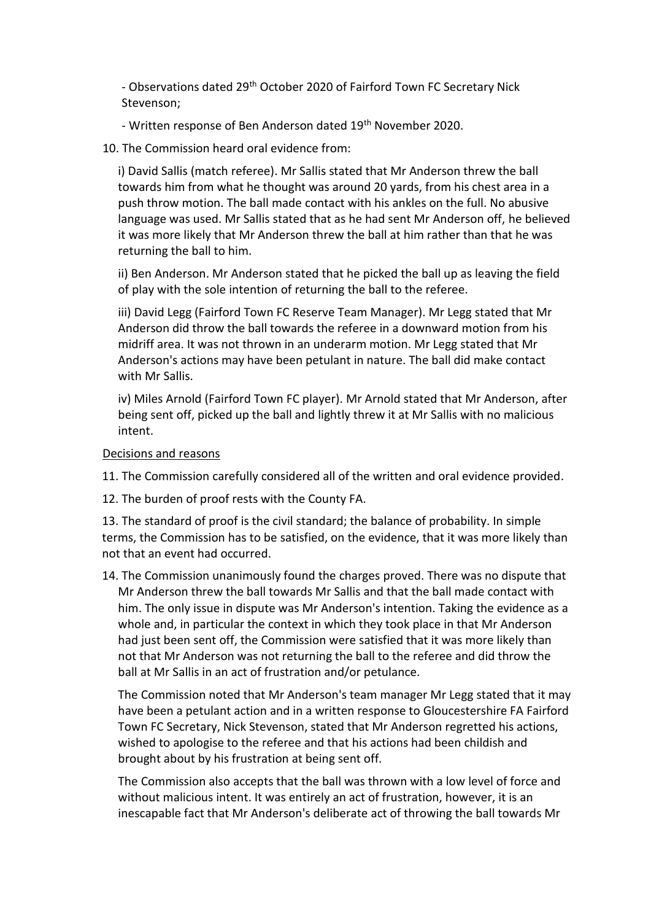- Observations dated 29<sup>th</sup> October 2020 of Fairford Town FC Secretary Nick Stevenson;

- Written response of Ben Anderson dated 19<sup>th</sup> November 2020.
- 10. The Commission heard oral evidence from:

i) David Sallis (match referee). Mr Sallis stated that Mr Anderson threw the ball towards him from what he thought was around 20 yards, from his chest area in a push throw motion. The ball made contact with his ankles on the full. No abusive language was used. Mr Sallis stated that as he had sent Mr Anderson off, he believed it was more likely that Mr Anderson threw the ball at him rather than that he was returning the ball to him.

ii) Ben Anderson. Mr Anderson stated that he picked the ball up as leaving the field of play with the sole intention of returning the ball to the referee.

iii) David Legg (Fairford Town FC Reserve Team Manager). Mr Legg stated that Mr Anderson did throw the ball towards the referee in a downward motion from his midriff area. It was not thrown in an underarm motion. Mr Legg stated that Mr Anderson's actions may have been petulant in nature. The ball did make contact with Mr Sallis.

iv) Miles Arnold (Fairford Town FC player). Mr Arnold stated that Mr Anderson, after being sent off, picked up the ball and lightly threw it at Mr Sallis with no malicious intent.

#### Decisions and reasons

- 11. The Commission carefully considered all of the written and oral evidence provided.
- 12. The burden of proof rests with the County FA.

13. The standard of proof is the civil standard; the balance of probability. In simple terms, the Commission has to be satisfied, on the evidence, that it was more likely than not that an event had occurred.

14. The Commission unanimously found the charges proved. There was no dispute that Mr Anderson threw the ball towards Mr Sallis and that the ball made contact with him. The only issue in dispute was Mr Anderson's intention. Taking the evidence as a whole and, in particular the context in which they took place in that Mr Anderson had just been sent off, the Commission were satisfied that it was more likely than not that Mr Anderson was not returning the ball to the referee and did throw the ball at Mr Sallis in an act of frustration and/or petulance.

The Commission noted that Mr Anderson's team manager Mr Legg stated that it may have been a petulant action and in a written response to Gloucestershire FA Fairford Town FC Secretary, Nick Stevenson, stated that Mr Anderson regretted his actions, wished to apologise to the referee and that his actions had been childish and brought about by his frustration at being sent off.

The Commission also accepts that the ball was thrown with a low level of force and without malicious intent. It was entirely an act of frustration, however, it is an inescapable fact that Mr Anderson's deliberate act of throwing the ball towards Mr